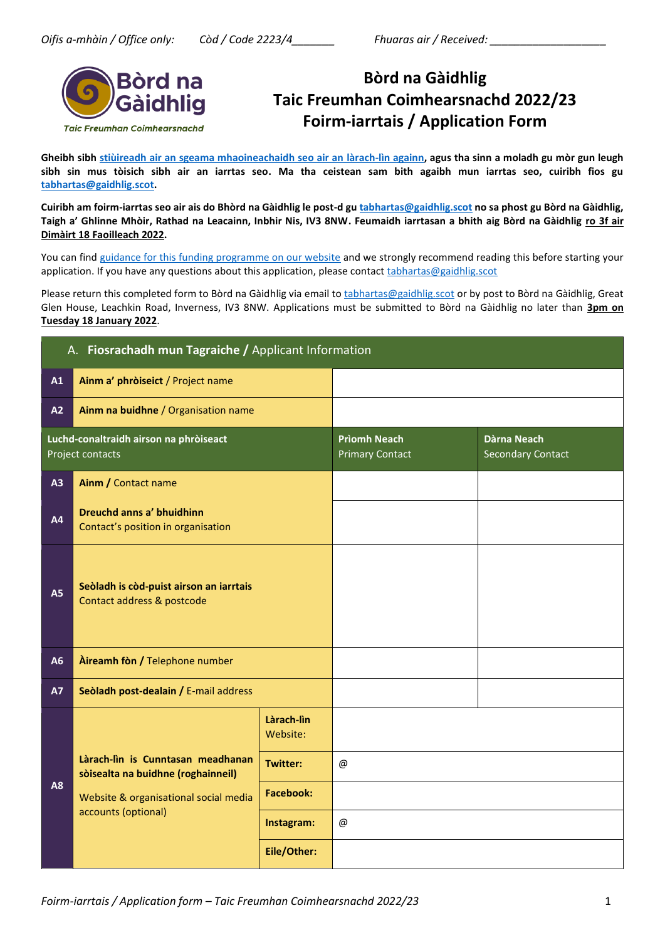

# **Bòrd na Gàidhlig Taic Freumhan Coimhearsnachd 2022/23 Foirm-iarrtais / Application Form**

**Gheibh sibh [stiùireadh air an sgeama mhaoineachaidh seo air an làrach-lìn againn,](https://www.gaidhlig.scot/wp-content/uploads/2021/11/stiuireadh-tfc-2022-23.pdf) agus tha sinn a moladh gu mòr gun leugh sibh sin mus tòisich sibh air an iarrtas seo. Ma tha ceistean sam bith agaibh mun iarrtas seo, cuiribh fios gu [tabhartas@gaidhlig.scot.](mailto:tabhartas@gaidhlig.scot)**

**Cuiribh am foirm-iarrtas seo air ais do Bhòrd na Gàidhlig le post-d gu [tabhartas@gaidhlig.scot](mailto:tabhartas@gaidhlig.scot) no sa phost gu Bòrd na Gàidhlig, Taigh a' Ghlinne Mhòir, Rathad na Leacainn, Inbhir Nis, IV3 8NW. Feumaidh iarrtasan a bhith aig Bòrd na Gàidhlig ro 3f air Dimàirt 18 Faoilleach 2022.**

You can fin[d guidance for this funding programme on our website](https://www.gaidhlig.scot/wp-content/uploads/2021/11/stiuireadh-tfc-2022-23.pdf) and we strongly recommend reading this before starting your application. If you have any questions about this application, please contac[t tabhartas@gaidhlig.scot](mailto:tabhartas@gaidhlig.scot)

Please return this completed form to Bòrd na Gàidhlig via email to [tabhartas@gaidhlig.scot](mailto:tabhartas@gaidhlig.scot) or by post to Bòrd na Gàidhlig, Great Glen House, Leachkin Road, Inverness, IV3 8NW. Applications must be submitted to Bòrd na Gàidhlig no later than **3pm on Tuesday 18 January 2022**.

|           | A. Fiosrachadh mun Tagraiche / Applicant Information                                                             |                        |                                               |                                         |  |  |  |
|-----------|------------------------------------------------------------------------------------------------------------------|------------------------|-----------------------------------------------|-----------------------------------------|--|--|--|
| A1        | Ainm a' phròiseict / Project name                                                                                |                        |                                               |                                         |  |  |  |
| A2        | Ainm na buidhne / Organisation name                                                                              |                        |                                               |                                         |  |  |  |
|           | Luchd-conaltraidh airson na phròiseact<br>Project contacts                                                       |                        | <b>Prìomh Neach</b><br><b>Primary Contact</b> | Dàrna Neach<br><b>Secondary Contact</b> |  |  |  |
| A3        | Ainm / Contact name                                                                                              |                        |                                               |                                         |  |  |  |
| A4        | Dreuchd anns a' bhuidhinn<br>Contact's position in organisation                                                  |                        |                                               |                                         |  |  |  |
| <b>A5</b> | Seòladh is còd-puist airson an iarrtais<br>Contact address & postcode                                            |                        |                                               |                                         |  |  |  |
| A6        | Aireamh fòn / Telephone number                                                                                   |                        |                                               |                                         |  |  |  |
| <b>A7</b> | Seòladh post-dealain / E-mail address                                                                            |                        |                                               |                                         |  |  |  |
|           |                                                                                                                  | Làrach-lìn<br>Website: |                                               |                                         |  |  |  |
|           | Làrach-lìn is Cunntasan meadhanan<br>sòisealta na buidhne (roghainneil)<br>Website & organisational social media | <b>Twitter:</b>        | $^{\copyright}$                               |                                         |  |  |  |
| A8        |                                                                                                                  | <b>Facebook:</b>       |                                               |                                         |  |  |  |
|           | accounts (optional)                                                                                              | Instagram:             | $^\text{\textregistered}$                     |                                         |  |  |  |
|           | Eile/Other:                                                                                                      |                        |                                               |                                         |  |  |  |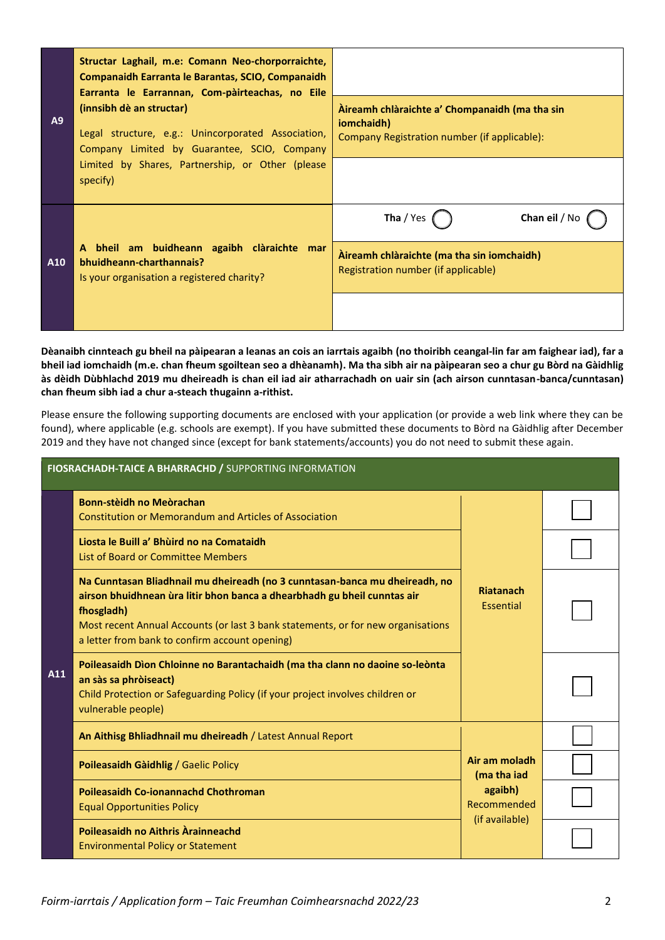| A9  | Structar Laghail, m.e: Comann Neo-chorporraichte,<br><b>Companaidh Earranta le Barantas, SCIO, Companaidh</b><br>Earranta le Earrannan, Com-pàirteachas, no Eile<br>(innsibh dè an structar)<br>Legal structure, e.g.: Unincorporated Association,<br>Company Limited by Guarantee, SCIO, Company | Àireamh chlàraichte a' Chompanaidh (ma tha sin<br>iomchaidh)<br>Company Registration number (if applicable): |
|-----|---------------------------------------------------------------------------------------------------------------------------------------------------------------------------------------------------------------------------------------------------------------------------------------------------|--------------------------------------------------------------------------------------------------------------|
|     | Limited by Shares, Partnership, or Other (please<br>specify)                                                                                                                                                                                                                                      |                                                                                                              |
|     |                                                                                                                                                                                                                                                                                                   | Tha / Yes<br>Chan eil / No                                                                                   |
| A10 | A bheil am buidheann agaibh clàraichte mar<br>bhuidheann-charthannais?<br>Is your organisation a registered charity?                                                                                                                                                                              | Aireamh chlàraichte (ma tha sin iomchaidh)<br>Registration number (if applicable)                            |
|     |                                                                                                                                                                                                                                                                                                   |                                                                                                              |

**Dèanaibh cinnteach gu bheil na pàipearan a leanas an cois an iarrtais agaibh (no thoiribh ceangal-lin far am faighear iad), far a bheil iad iomchaidh (m.e. chan fheum sgoiltean seo a dhèanamh). Ma tha sibh air na pàipearan seo a chur gu Bòrd na Gàidhlig às dèidh Dùbhlachd 2019 mu dheireadh is chan eil iad air atharrachadh on uair sin (ach airson cunntasan-banca/cunntasan) chan fheum sibh iad a chur a-steach thugainn a-rithist.**

Please ensure the following supporting documents are enclosed with your application (or provide a web link where they can be found), where applicable (e.g. schools are exempt). If you have submitted these documents to Bòrd na Gàidhlig after December 2019 and they have not changed since (except for bank statements/accounts) you do not need to submit these again.

|     | FIOSRACHADH-TAICE A BHARRACHD / SUPPORTING INFORMATION                                                                                                                                                                                                                                                      |                               |  |  |  |  |
|-----|-------------------------------------------------------------------------------------------------------------------------------------------------------------------------------------------------------------------------------------------------------------------------------------------------------------|-------------------------------|--|--|--|--|
| A11 | <b>Bonn-stèidh no Meòrachan</b><br><b>Constitution or Memorandum and Articles of Association</b>                                                                                                                                                                                                            |                               |  |  |  |  |
|     | Liosta le Buill a' Bhùird no na Comataidh<br>List of Board or Committee Members                                                                                                                                                                                                                             |                               |  |  |  |  |
|     | Na Cunntasan Bliadhnail mu dheireadh (no 3 cunntasan-banca mu dheireadh, no<br>airson bhuidhnean ùra litir bhon banca a dhearbhadh gu bheil cunntas air<br>fhosgladh)<br>Most recent Annual Accounts (or last 3 bank statements, or for new organisations<br>a letter from bank to confirm account opening) | <b>Riatanach</b><br>Essential |  |  |  |  |
|     | Poileasaidh Dìon Chloinne no Barantachaidh (ma tha clann no daoine so-leònta<br>an sàs sa phròiseact)<br>Child Protection or Safeguarding Policy (if your project involves children or<br>vulnerable people)                                                                                                |                               |  |  |  |  |
|     | An Aithisg Bhliadhnail mu dheireadh / Latest Annual Report                                                                                                                                                                                                                                                  |                               |  |  |  |  |
|     | Poileasaidh Gàidhlig / Gaelic Policy                                                                                                                                                                                                                                                                        | Air am moladh<br>(ma tha iad  |  |  |  |  |
|     | <b>Poileasaidh Co-ionannachd Chothroman</b><br><b>Equal Opportunities Policy</b>                                                                                                                                                                                                                            | agaibh)<br>Recommended        |  |  |  |  |
|     | Poileasaidh no Aithris Àrainneachd<br><b>Environmental Policy or Statement</b>                                                                                                                                                                                                                              | (if available)                |  |  |  |  |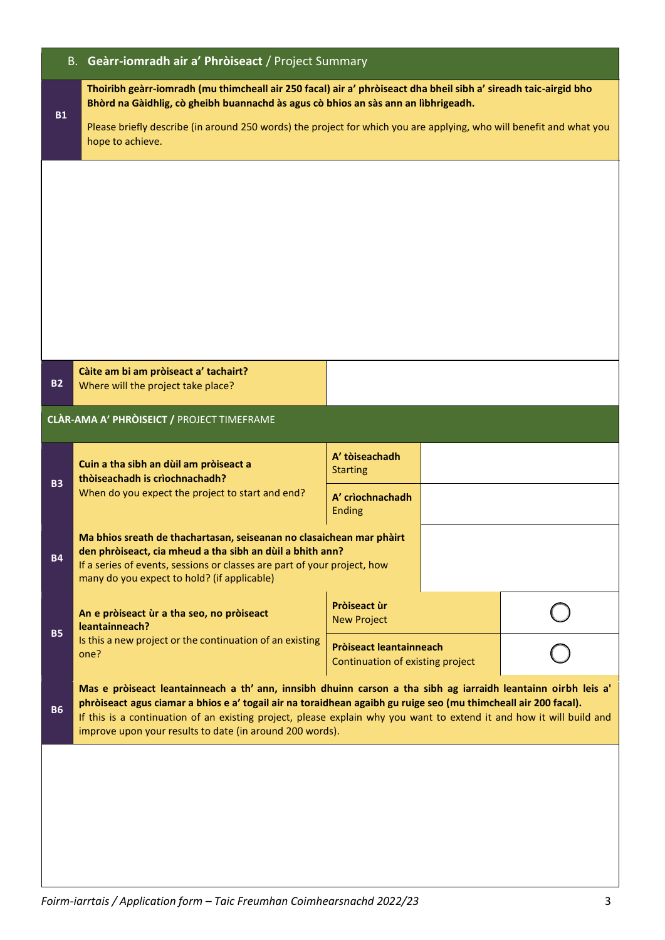|           | B. Geàrr-iomradh air a' Phròiseact / Project Summary                                                                                                                                                                                                                                                                                                                                                                 |                                                             |  |  |  |  |  |
|-----------|----------------------------------------------------------------------------------------------------------------------------------------------------------------------------------------------------------------------------------------------------------------------------------------------------------------------------------------------------------------------------------------------------------------------|-------------------------------------------------------------|--|--|--|--|--|
| <b>B1</b> | Thoiribh geàrr-iomradh (mu thimcheall air 250 facal) air a' phròiseact dha bheil sibh a' sireadh taic-airgid bho<br>Bhòrd na Gàidhlig, cò gheibh buannachd às agus cò bhios an sàs ann an lìbhrigeadh.<br>Please briefly describe (in around 250 words) the project for which you are applying, who will benefit and what you<br>hope to achieve.                                                                    |                                                             |  |  |  |  |  |
|           |                                                                                                                                                                                                                                                                                                                                                                                                                      |                                                             |  |  |  |  |  |
| <b>B2</b> | Càite am bi am pròiseact a' tachairt?<br>Where will the project take place?                                                                                                                                                                                                                                                                                                                                          |                                                             |  |  |  |  |  |
|           | CLÀR-AMA A' PHRÒISEICT / PROJECT TIMEFRAME                                                                                                                                                                                                                                                                                                                                                                           |                                                             |  |  |  |  |  |
| <b>B3</b> | Cuin a tha sibh an dùil am pròiseact a<br>thòiseachadh is crìochnachadh?<br>When do you expect the project to start and end?                                                                                                                                                                                                                                                                                         | A' tòiseachadh<br><b>Starting</b><br>A' crìochnachadh       |  |  |  |  |  |
| <b>B4</b> | Ma bhios sreath de thachartasan, seiseanan no clasaichean mar phàirt<br>den phròiseact, cia mheud a tha sibh an dùil a bhith ann?<br>If a series of events, sessions or classes are part of your project, how<br>many do you expect to hold? (if applicable)                                                                                                                                                         | <b>Ending</b>                                               |  |  |  |  |  |
| <b>B5</b> | An e pròiseact ùr a tha seo, no pròiseact<br>leantainneach?                                                                                                                                                                                                                                                                                                                                                          | Pròiseact ùr<br><b>New Project</b>                          |  |  |  |  |  |
|           | Is this a new project or the continuation of an existing<br>one?                                                                                                                                                                                                                                                                                                                                                     | Pròiseact leantainneach<br>Continuation of existing project |  |  |  |  |  |
| <b>B6</b> | Mas e pròiseact leantainneach a th' ann, innsibh dhuinn carson a tha sibh ag iarraidh leantainn oirbh leis a'<br>phròiseact agus ciamar a bhios e a' togail air na toraidhean agaibh gu ruige seo (mu thimcheall air 200 facal).<br>If this is a continuation of an existing project, please explain why you want to extend it and how it will build and<br>improve upon your results to date (in around 200 words). |                                                             |  |  |  |  |  |
|           |                                                                                                                                                                                                                                                                                                                                                                                                                      |                                                             |  |  |  |  |  |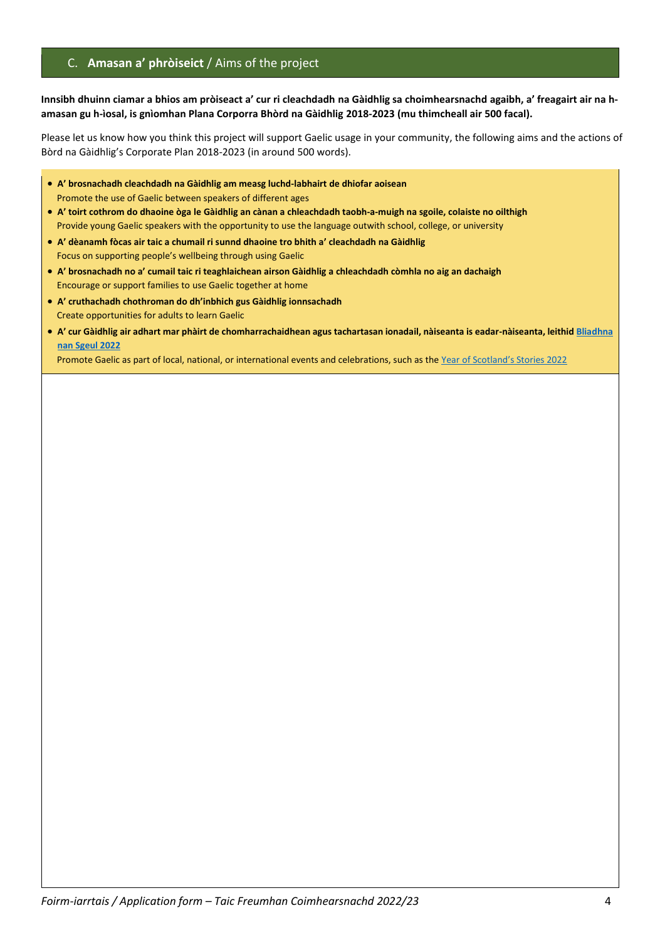# C. **Amasan a' phròiseict** / Aims of the project

### **Innsibh dhuinn ciamar a bhios am pròiseact a' cur ri cleachdadh na Gàidhlig sa choimhearsnachd agaibh, a' freagairt air na hamasan gu h-ìosal, is gnìomhan Plana Corporra Bhòrd na Gàidhlig 2018-2023 (mu thimcheall air 500 facal).**

Please let us know how you think this project will support Gaelic usage in your community, the following aims and the actions of Bòrd na Gàidhlig's Corporate Plan 2018-2023 (in around 500 words).

- **A' brosnachadh cleachdadh na Gàidhlig am measg luchd-labhairt de dhiofar aoisean** Promote the use of Gaelic between speakers of different ages
- **A' toirt cothrom do dhaoine òga le Gàidhlig an cànan a chleachdadh taobh-a-muigh na sgoile, colaiste no oilthigh** Provide young Gaelic speakers with the opportunity to use the language outwith school, college, or university
- **A' dèanamh fòcas air taic a chumail ri sunnd dhaoine tro bhith a' cleachdadh na Gàidhlig** Focus on supporting people's wellbeing through using Gaelic
- **A' brosnachadh no a' cumail taic ri teaghlaichean airson Gàidhlig a chleachdadh còmhla no aig an dachaigh** Encourage or support families to use Gaelic together at home
- **A' cruthachadh chothroman do dh'inbhich gus Gàidhlig ionnsachadh** Create opportunities for adults to learn Gaelic
- **A' cur Gàidhlig air adhart mar phàirt de chomharrachaidhean agus tachartasan ionadail, nàiseanta is eadar-nàiseanta, leithi[d Bliadhna](https://www.visitscotland.org/about-us/what-we-do/themed-years)  [nan Sgeul 2022](https://www.visitscotland.org/about-us/what-we-do/themed-years)**

Promote Gaelic as part of local, national, or international events and celebrations, such as the [Year of Scotland's Stories 2022](https://www.visitscotland.org/about-us/what-we-do/themed-years)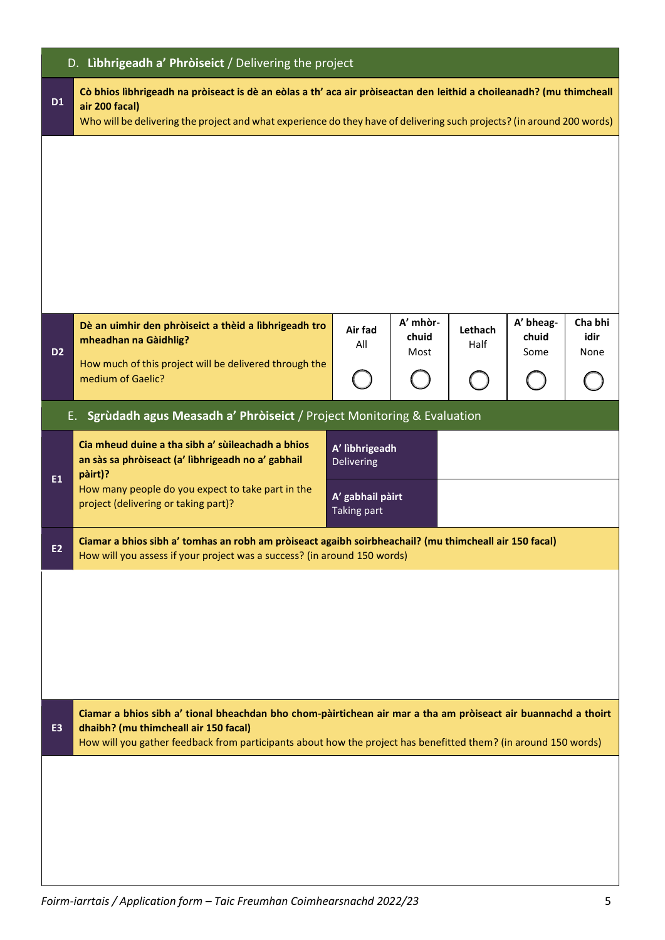|                | D. Libhrigeadh a' Phròiseict / Delivering the project                                                                                                                                                                                                            |                                                                        |                           |                 |                            |                         |  |  |
|----------------|------------------------------------------------------------------------------------------------------------------------------------------------------------------------------------------------------------------------------------------------------------------|------------------------------------------------------------------------|---------------------------|-----------------|----------------------------|-------------------------|--|--|
| <b>D1</b>      | Cò bhios lìbhrigeadh na pròiseact is dè an eòlas a th' aca air pròiseactan den leithid a choileanadh? (mu thimcheall<br>air 200 facal)<br>Who will be delivering the project and what experience do they have of delivering such projects? (in around 200 words) |                                                                        |                           |                 |                            |                         |  |  |
|                |                                                                                                                                                                                                                                                                  |                                                                        |                           |                 |                            |                         |  |  |
| D <sub>2</sub> | Dè an uimhir den phròiseict a thèid a lìbhrigeadh tro<br>mheadhan na Gàidhlig?<br>How much of this project will be delivered through the<br>medium of Gaelic?                                                                                                    | Air fad<br>All                                                         | A' mhòr-<br>chuid<br>Most | Lethach<br>Half | A' bheag-<br>chuid<br>Some | Cha bhi<br>idir<br>None |  |  |
|                | E. Sgrùdadh agus Measadh a' Phròiseict / Project Monitoring & Evaluation                                                                                                                                                                                         |                                                                        |                           |                 |                            |                         |  |  |
| E1             | Cia mheud duine a tha sibh a' sùileachadh a bhios<br>an sàs sa phròiseact (a' lìbhrigeadh no a' gabhail<br>pàirt)?<br>How many people do you expect to take part in the<br>project (delivering or taking part)?                                                  | A' lìbhrigeadh<br>Delivering<br>A' gabhail pàirt<br><b>Taking part</b> |                           |                 |                            |                         |  |  |
| <b>E2</b>      | Ciamar a bhios sibh a' tomhas an robh am pròiseact agaibh soirbheachail? (mu thimcheall air 150 facal)<br>How will you assess if your project was a success? (in around 150 words)                                                                               |                                                                        |                           |                 |                            |                         |  |  |
|                |                                                                                                                                                                                                                                                                  |                                                                        |                           |                 |                            |                         |  |  |
| E <sub>3</sub> | Ciamar a bhios sibh a' tional bheachdan bho chom-pàirtichean air mar a tha am pròiseact air buannachd a thoirt<br>dhaibh? (mu thimcheall air 150 facal)                                                                                                          |                                                                        |                           |                 |                            |                         |  |  |
|                | How will you gather feedback from participants about how the project has benefitted them? (in around 150 words)                                                                                                                                                  |                                                                        |                           |                 |                            |                         |  |  |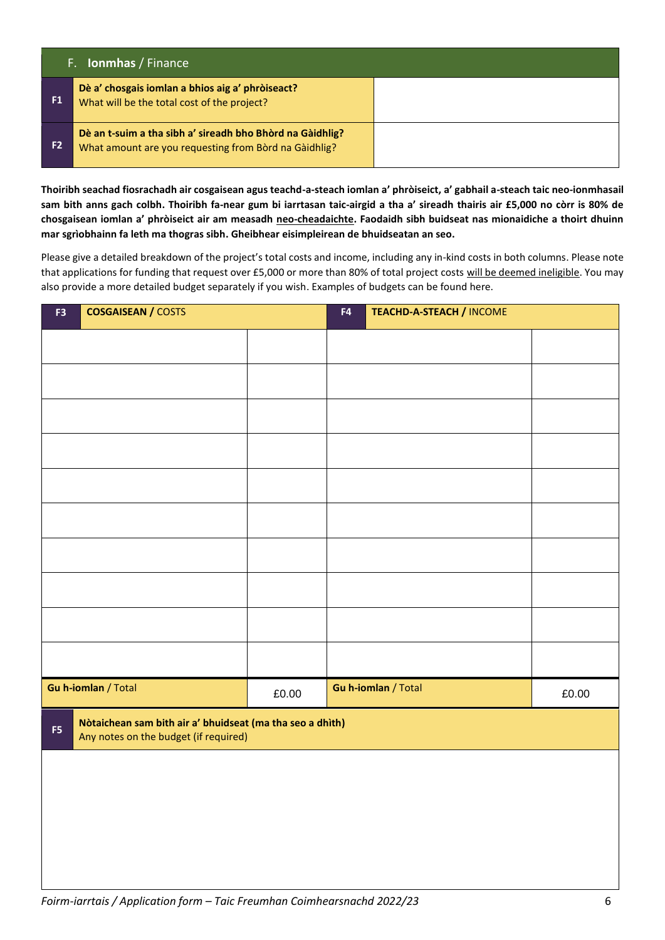|                | F. <b>Ionmhas</b> / Finance                                                                                        |  |  |  |  |
|----------------|--------------------------------------------------------------------------------------------------------------------|--|--|--|--|
| F <sub>1</sub> | Dè a' chosgais iomlan a bhios aig a' phròiseact?<br>What will be the total cost of the project?                    |  |  |  |  |
| F <sub>2</sub> | Dè an t-suim a tha sibh a' sireadh bho Bhòrd na Gàidhlig?<br>What amount are you requesting from Bord na Gaidhlig? |  |  |  |  |

**Thoiribh seachad fiosrachadh air cosgaisean agus teachd-a-steach iomlan a' phròiseict, a' gabhail a-steach taic neo-ionmhasail sam bith anns gach colbh. Thoiribh fa-near gum bi iarrtasan taic-airgid a tha a' sireadh thairis air £5,000 no còrr is 80% de chosgaisean iomlan a' phròiseict air am measadh neo-cheadaichte. Faodaidh sibh buidseat nas mionaidiche a thoirt dhuinn mar sgrìobhainn fa leth ma thogras sibh. Gheibhear eisimpleirean de bhuidseatan an seo.**

Please give a detailed breakdown of the project's total costs and income, including any in-kind costs in both columns. Please note that applications for funding that request over £5,000 or more than 80% of total project costs will be deemed ineligible. You may also provide a more detailed budget separately if you wish. Examples of budgets can be found here.

| <b>COSGAISEAN / COSTS</b><br>F3 |                                                                                                    | F4    | <b>TEACHD-A-STEACH / INCOME</b> |                     |       |  |
|---------------------------------|----------------------------------------------------------------------------------------------------|-------|---------------------------------|---------------------|-------|--|
|                                 |                                                                                                    |       |                                 |                     |       |  |
|                                 |                                                                                                    |       |                                 |                     |       |  |
|                                 |                                                                                                    |       |                                 |                     |       |  |
|                                 |                                                                                                    |       |                                 |                     |       |  |
|                                 |                                                                                                    |       |                                 |                     |       |  |
|                                 |                                                                                                    |       |                                 |                     |       |  |
|                                 |                                                                                                    |       |                                 |                     |       |  |
|                                 |                                                                                                    |       |                                 |                     |       |  |
|                                 |                                                                                                    |       |                                 |                     |       |  |
|                                 |                                                                                                    |       |                                 |                     |       |  |
|                                 | Gu h-iomlan / Total                                                                                | £0.00 |                                 | Gu h-iomlan / Total | £0.00 |  |
| F5                              | Nòtaichean sam bith air a' bhuidseat (ma tha seo a dhìth)<br>Any notes on the budget (if required) |       |                                 |                     |       |  |
|                                 |                                                                                                    |       |                                 |                     |       |  |
|                                 |                                                                                                    |       |                                 |                     |       |  |
|                                 |                                                                                                    |       |                                 |                     |       |  |
|                                 |                                                                                                    |       |                                 |                     |       |  |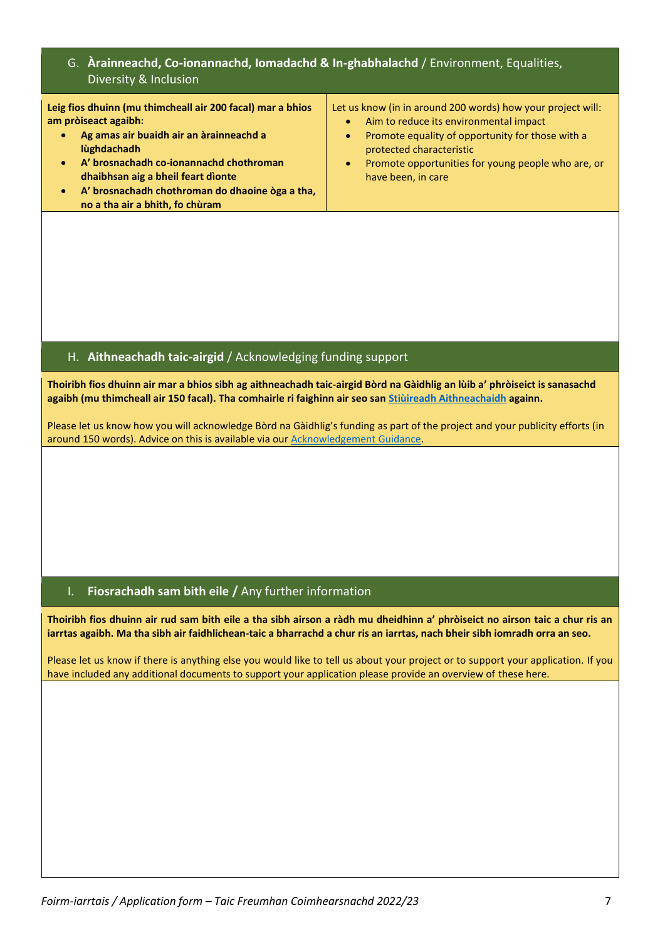# G. **Àrainneachd, Co-ionannachd, Iomadachd & In-ghabhalachd** / Environment, Equalities, Diversity & Inclusion

| Leig fios dhuinn (mu thimcheall air 200 facal) mar a bhios<br>am pròiseact agaibh:<br>Ag amas air buaidh air an àrainneachd a | Let us know (in in around 200 words) how your project will:<br>Aim to reduce its environmental impact<br>$\bullet$<br>Promote equality of opportunity for those with a |
|-------------------------------------------------------------------------------------------------------------------------------|------------------------------------------------------------------------------------------------------------------------------------------------------------------------|
| lùghdachadh<br>A' brosnachadh co-ionannachd chothroman<br>$\bullet$<br>dhaibhsan aig a bheil feart dìonte                     | $\bullet$<br>protected characteristic<br>Promote opportunities for young people who are, or<br>$\bullet$<br>have been, in care                                         |
| A' brosnachadh chothroman do dhaoine òga a tha,<br>۰<br>no a tha air a bhith, fo chùram                                       |                                                                                                                                                                        |

# H. **Aithneachadh taic-airgid** / Acknowledging funding support

**Thoiribh fios dhuinn air mar a bhios sibh ag aithneachadh taic-airgid Bòrd na Gàidhlig an lùib a' phròiseict is sanasachd agaibh (mu thimcheall air 150 facal). Tha comhairle ri faighinn air seo san [Stiùireadh Aithneachaidh](https://www.gaidhlig.scot/wp-content/uploads/static/stiuireadh-aithneachaidh.pdf) againn.**

Please let us know how you will acknowledge Bòrd na Gàidhlig's funding as part of the project and your publicity efforts (in around 150 words). Advice on this is available via ou[r Acknowledgement Guidance.](https://www.gaidhlig.scot/wp-content/uploads/static/acknowledgement-guidance.pdf)

## I. **Fiosrachadh sam bith eile /** Any further information

**Thoiribh fios dhuinn air rud sam bith eile a tha sibh airson a ràdh mu dheidhinn a' phròiseict no airson taic a chur ris an iarrtas agaibh. Ma tha sibh air faidhlichean-taic a bharrachd a chur ris an iarrtas, nach bheir sibh iomradh orra an seo.**

Please let us know if there is anything else you would like to tell us about your project or to support your application. If you have included any additional documents to support your application please provide an overview of these here.